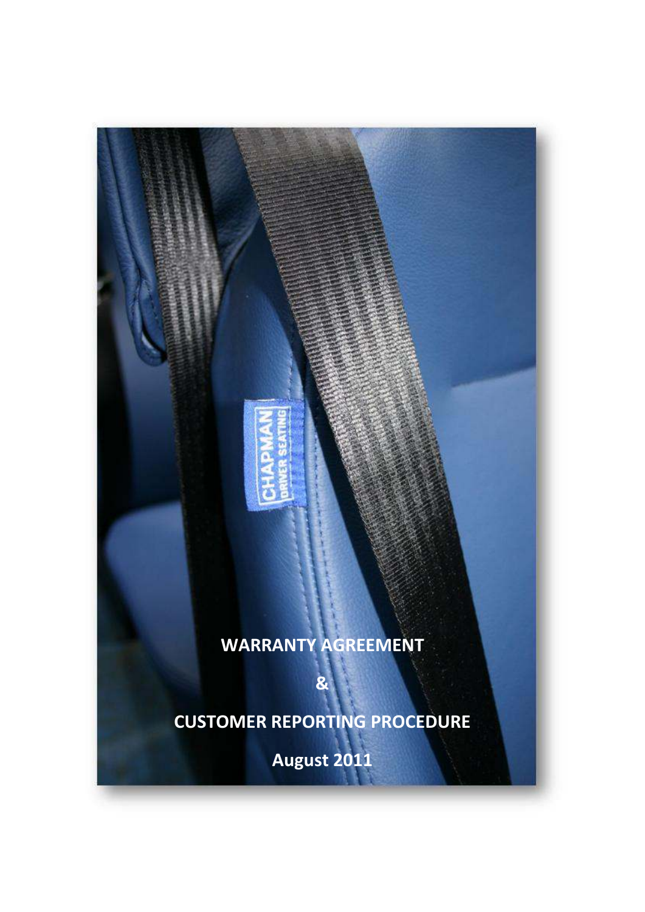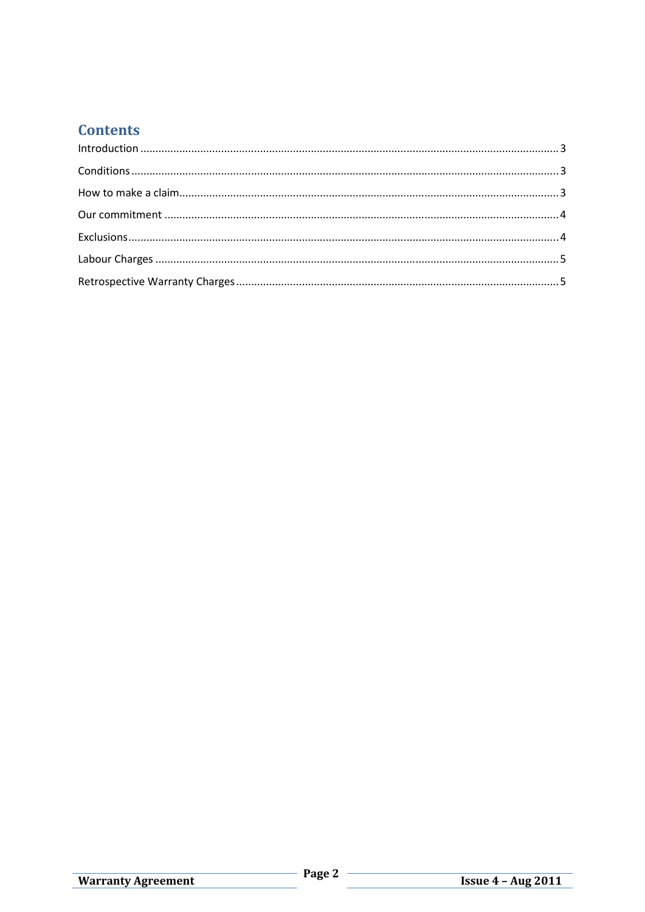# **Contents**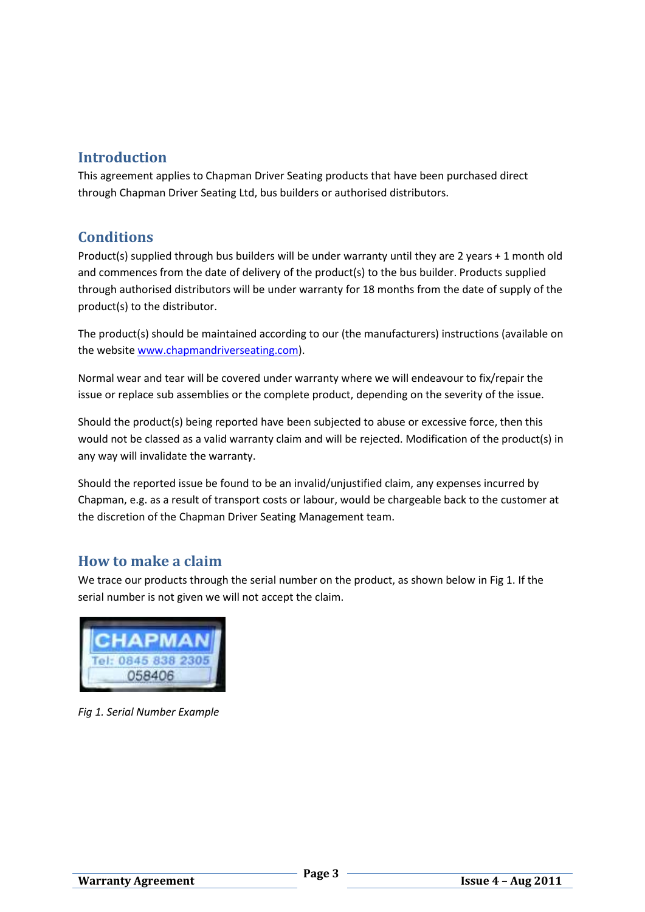## **Introduction**

This agreement applies to Chapman Driver Seating products that have been purchased direct through Chapman Driver Seating Ltd, bus builders or authorised distributors.

## **Conditions**

Product(s) supplied through bus builders will be under warranty until they are 2 years + 1 month old and commences from the date of delivery of the product(s) to the bus builder. Products supplied through authorised distributors will be under warranty for 18 months from the date of supply of the product(s) to the distributor.

The product(s) should be maintained according to our (the manufacturers) instructions (available on the website www.chapmandriverseating.com).

Normal wear and tear will be covered under warranty where we will endeavour to fix/repair the issue or replace sub assemblies or the complete product, depending on the severity of the issue.

Should the product(s) being reported have been subjected to abuse or excessive force, then this would not be classed as a valid warranty claim and will be rejected. Modification of the product(s) in any way will invalidate the warranty.

Should the reported issue be found to be an invalid/unjustified claim, any expenses incurred by Chapman, e.g. as a result of transport costs or labour, would be chargeable back to the customer at the discretion of the Chapman Driver Seating Management team.

### **How to make a claim**

We trace our products through the serial number on the product, as shown below in Fig 1. If the serial number is not given we will not accept the claim.



*Fig 1. Serial Number Example*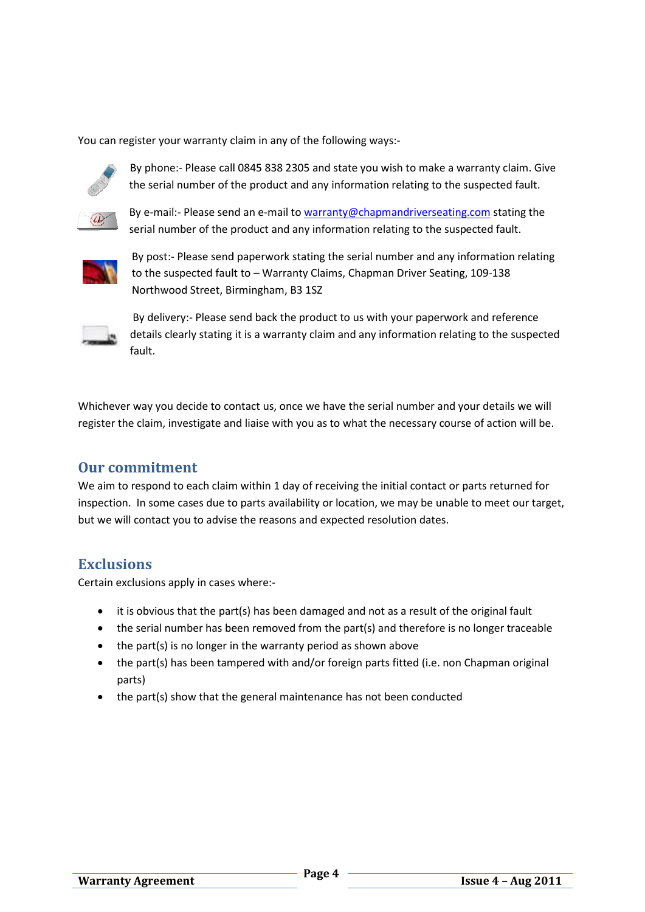You can register your warranty claim in any of the following ways:-



By phone:- Please call 0845 838 2305 and state you wish to make a warranty claim. Give the serial number of the product and any information relating to the suspected fault.



the serial number of the product and any information relating to the suspected fault.<br>By e-mail:- Please send an e-mail to warranty@chapmandriverseating.com stating the serial number of the product and any information relating to the suspected fault.



By post:- Please send paperwork stating the serial number and any information relating By post:- Please send paperwork stating the serial number and any informatior<br>to the suspected fault to – Warranty Claims, Chapman Driver Seating, 109-138 Northwood Street, Birmingham, B3 1SZ



 By delivery:- Please send back the product to us with your paperwork and reference details clearly stating it is a warranty claim and any information relating to the suspected fault. elivery:- Please send back the product to us with your paperwork and refere<br>Is clearly stating it is a warranty claim and any information relating to the su<br>you decide to contact us, once we have the serial number and your

Whichever way you decide to contact us, once we have the serial number and your details we will register the claim, investigate and liaise with you as to what the necessary course of action will be.

#### **Our commitment**

We aim to respond to each claim within 1 day of receiving the initial contact or parts returned for We aim to respond to each claim within 1 day of receiving the initial contact or parts returned for<br>inspection. In some cases due to parts availability or location, we may be unable to meet our target, but we will contact you to advise the reasons and expected resolution dates.

### **Exclusions**

Certain exclusions apply in cases where:-

- it is obvious that the part(s) has been damaged and not as a result of the original fault
- the serial number has been removed from the part(s) and therefore is no longer traceable it is obvious that the part(s) has been damaged and not as a re:<br>the serial number has been removed from the part(s) and ther<br>the part(s) is no longer in the warranty period as shown above
- the part(s) is no longer in the warranty period as shown above
- the part(s) has been tampered with and/or foreign parts fitted (i.e. non Chapman original parts)
- the part(s) show that the general maintenance has not been conducted